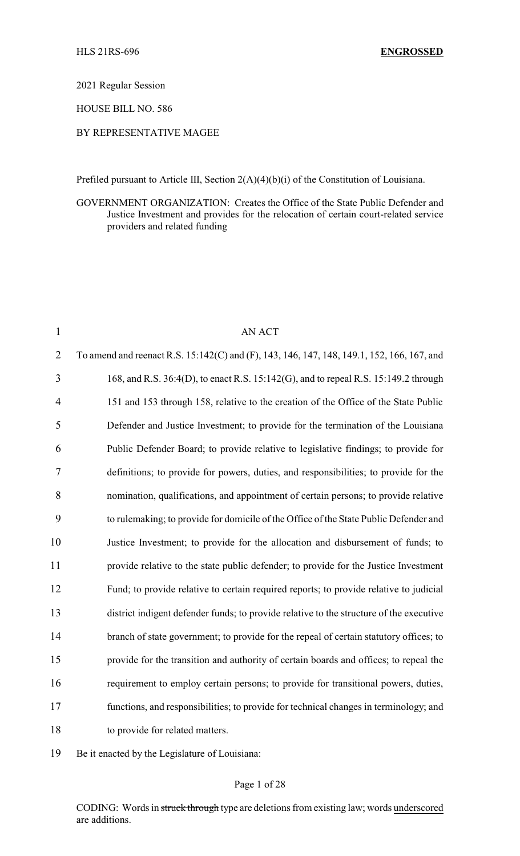2021 Regular Session

HOUSE BILL NO. 586

## BY REPRESENTATIVE MAGEE

Prefiled pursuant to Article III, Section 2(A)(4)(b)(i) of the Constitution of Louisiana.

GOVERNMENT ORGANIZATION: Creates the Office of the State Public Defender and Justice Investment and provides for the relocation of certain court-related service providers and related funding

| $\mathbf{1}$   | <b>AN ACT</b>                                                                              |
|----------------|--------------------------------------------------------------------------------------------|
| $\overline{2}$ | To amend and reenact R.S. 15:142(C) and (F), 143, 146, 147, 148, 149.1, 152, 166, 167, and |
| 3              | 168, and R.S. 36:4(D), to enact R.S. 15:142(G), and to repeal R.S. 15:149.2 through        |
| 4              | 151 and 153 through 158, relative to the creation of the Office of the State Public        |
| 5              | Defender and Justice Investment; to provide for the termination of the Louisiana           |
| 6              | Public Defender Board; to provide relative to legislative findings; to provide for         |
| $\tau$         | definitions; to provide for powers, duties, and responsibilities; to provide for the       |
| 8              | nomination, qualifications, and appointment of certain persons; to provide relative        |
| 9              | to rulemaking; to provide for domicile of the Office of the State Public Defender and      |
| 10             | Justice Investment; to provide for the allocation and disbursement of funds; to            |
| 11             | provide relative to the state public defender; to provide for the Justice Investment       |
| 12             | Fund; to provide relative to certain required reports; to provide relative to judicial     |
| 13             | district indigent defender funds; to provide relative to the structure of the executive    |
| 14             | branch of state government; to provide for the repeal of certain statutory offices; to     |
| 15             | provide for the transition and authority of certain boards and offices; to repeal the      |
| 16             | requirement to employ certain persons; to provide for transitional powers, duties,         |
| 17             | functions, and responsibilities; to provide for technical changes in terminology; and      |
| 18             | to provide for related matters.                                                            |

Be it enacted by the Legislature of Louisiana:

## Page 1 of 28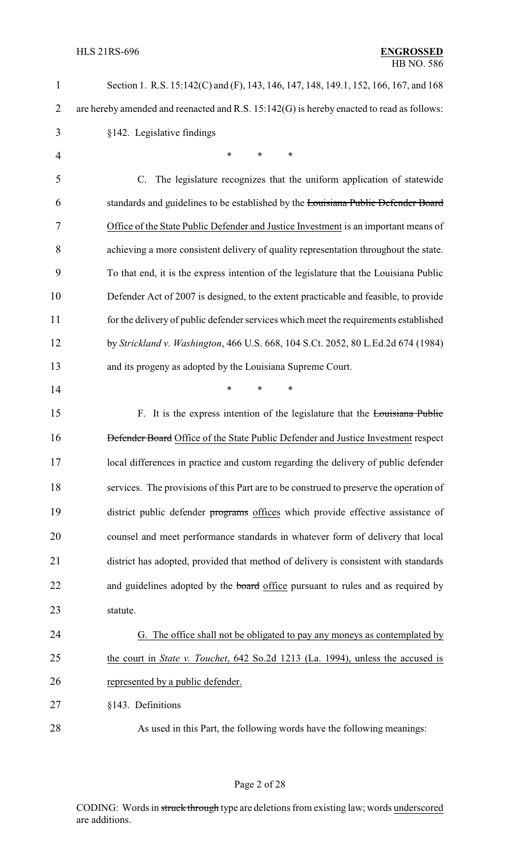| $\mathbf{1}$   | Section 1. R.S. 15:142(C) and (F), 143, 146, 147, 148, 149.1, 152, 166, 167, and 168      |
|----------------|-------------------------------------------------------------------------------------------|
| $\overline{2}$ | are hereby amended and reenacted and R.S. 15:142(G) is hereby enacted to read as follows: |
| 3              | §142. Legislative findings                                                                |
| $\overline{4}$ | $\ast$<br>*<br>*                                                                          |
| 5              | C. The legislature recognizes that the uniform application of statewide                   |
| 6              | standards and guidelines to be established by the Louisiana Public Defender Board         |
| 7              | Office of the State Public Defender and Justice Investment is an important means of       |
| 8              | achieving a more consistent delivery of quality representation throughout the state.      |
| 9              | To that end, it is the express intention of the legislature that the Louisiana Public     |
| 10             | Defender Act of 2007 is designed, to the extent practicable and feasible, to provide      |
| 11             | for the delivery of public defender services which meet the requirements established      |
| 12             | by Strickland v. Washington, 466 U.S. 668, 104 S.Ct. 2052, 80 L.Ed.2d 674 (1984)          |
| 13             | and its progeny as adopted by the Louisiana Supreme Court.                                |
| 14             | $\ast$<br>*<br>*                                                                          |
| 15             | F. It is the express intention of the legislature that the Louisiana Public               |
| 16             | <b>Defender Board</b> Office of the State Public Defender and Justice Investment respect  |
| 17             | local differences in practice and custom regarding the delivery of public defender        |
| 18             | services. The provisions of this Part are to be construed to preserve the operation of    |
| 19             | district public defender programs offices which provide effective assistance of           |
| 20             | counsel and meet performance standards in whatever form of delivery that local            |
| 21             | district has adopted, provided that method of delivery is consistent with standards       |
| 22             | and guidelines adopted by the board office pursuant to rules and as required by           |
| 23             | statute.                                                                                  |
| 24             | G. The office shall not be obligated to pay any moneys as contemplated by                 |
| 25             | the court in <i>State v. Touchet</i> , 642 So.2d 1213 (La. 1994), unless the accused is   |
| 26             | represented by a public defender.                                                         |
| 27             | §143. Definitions                                                                         |
| 28             | As used in this Part, the following words have the following meanings:                    |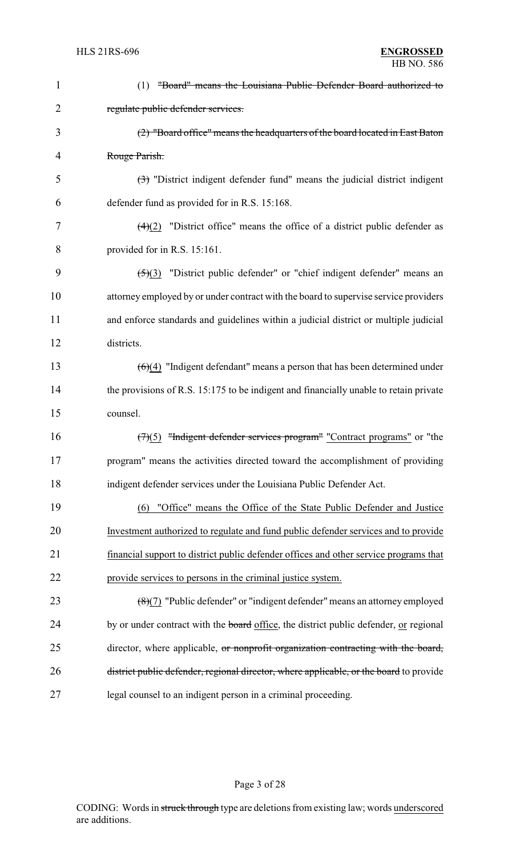| $\mathbf{1}$   | (1) "Board" means the Louisiana Public Defender Board authorized to                               |
|----------------|---------------------------------------------------------------------------------------------------|
| $\overline{2}$ | regulate public defender services.                                                                |
| 3              | (2) "Board office" means the headquarters of the board located in East Baton                      |
| $\overline{4}$ | Rouge Parish.                                                                                     |
| 5              | $\left(\frac{1}{2}\right)$ "District indigent defender fund" means the judicial district indigent |
| 6              | defender fund as provided for in R.S. 15:168.                                                     |
| 7              | $\left(\frac{4}{2}\right)$ "District office" means the office of a district public defender as    |
| 8              | provided for in R.S. 15:161.                                                                      |
| 9              | "District public defender" or "chief indigent defender" means an<br>$\left( 5\right)$ $(3)$       |
| 10             | attorney employed by or under contract with the board to supervise service providers              |
| 11             | and enforce standards and guidelines within a judicial district or multiple judicial              |
| 12             | districts.                                                                                        |
| 13             | $\overline{(6)(4)}$ "Indigent defendant" means a person that has been determined under            |
| 14             | the provisions of R.S. 15:175 to be indigent and financially unable to retain private             |
| 15             | counsel.                                                                                          |
| 16             | $(7)(5)$ "Indigent defender services program" "Contract programs" or "the                         |
| 17             | program" means the activities directed toward the accomplishment of providing                     |
| 18             | indigent defender services under the Louisiana Public Defender Act.                               |
| 19             | "Office" means the Office of the State Public Defender and Justice<br>(6)                         |
| 20             | Investment authorized to regulate and fund public defender services and to provide                |
| 21             | financial support to district public defender offices and other service programs that             |
| 22             | provide services to persons in the criminal justice system.                                       |
| 23             | $(8)(7)$ "Public defender" or "indigent defender" means an attorney employed                      |
| 24             | by or under contract with the <b>board</b> office, the district public defender, or regional      |
| 25             | director, where applicable, or nonprofit organization contracting with the board,                 |
| 26             | district public defender, regional director, where applicable, or the board to provide            |
| 27             | legal counsel to an indigent person in a criminal proceeding.                                     |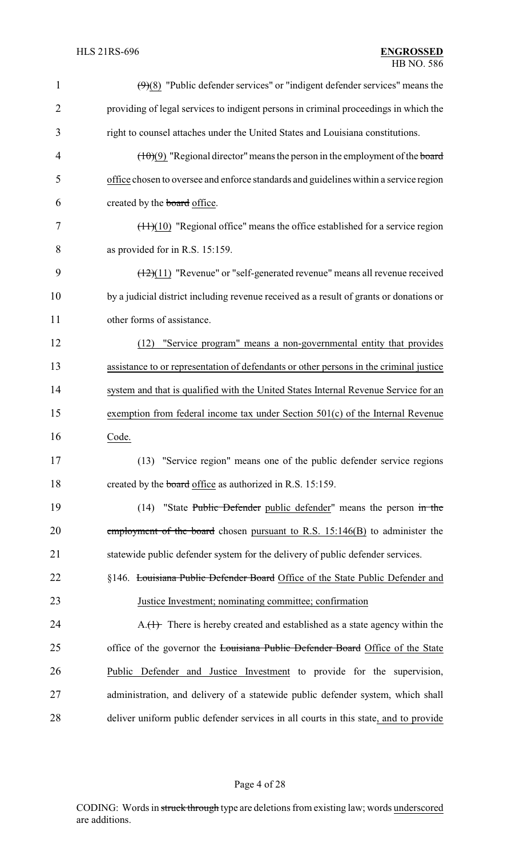| 1              | $\left(\frac{9}{8}\right)$ "Public defender services" or "indigent defender services" means the |
|----------------|-------------------------------------------------------------------------------------------------|
| $\overline{2}$ | providing of legal services to indigent persons in criminal proceedings in which the            |
| 3              | right to counsel attaches under the United States and Louisiana constitutions.                  |
| $\overline{4}$ | $(\pm 0)(9)$ "Regional director" means the person in the employment of the board                |
| 5              | office chosen to oversee and enforce standards and guidelines within a service region           |
| 6              | created by the <b>board</b> office.                                                             |
| 7              | $(\pm 1)(10)$ "Regional office" means the office established for a service region               |
| 8              | as provided for in R.S. 15:159.                                                                 |
| 9              | $(12)(11)$ "Revenue" or "self-generated revenue" means all revenue received                     |
| 10             | by a judicial district including revenue received as a result of grants or donations or         |
| 11             | other forms of assistance.                                                                      |
| 12             | "Service program" means a non-governmental entity that provides<br>(12)                         |
| 13             | assistance to or representation of defendants or other persons in the criminal justice          |
| 14             | system and that is qualified with the United States Internal Revenue Service for an             |
| 15             | exemption from federal income tax under Section 501(c) of the Internal Revenue                  |
| 16             | Code.                                                                                           |
| 17             | (13) "Service region" means one of the public defender service regions                          |
| 18             | created by the board office as authorized in R.S. 15:159.                                       |
| 19             | "State Public Defender public defender" means the person in the<br>(14)                         |
| 20             | employment of the board chosen pursuant to R.S. $15:146(B)$ to administer the                   |
| 21             | statewide public defender system for the delivery of public defender services.                  |
| 22             | §146. Louisiana Public Defender Board Office of the State Public Defender and                   |
| 23             | Justice Investment; nominating committee; confirmation                                          |
| 24             | $A.(+)$ There is hereby created and established as a state agency within the                    |
| 25             | office of the governor the Louisiana Public Defender Board Office of the State                  |
| 26             | Public Defender and Justice Investment to provide for the supervision,                          |
| 27             | administration, and delivery of a statewide public defender system, which shall                 |
| 28             | deliver uniform public defender services in all courts in this state, and to provide            |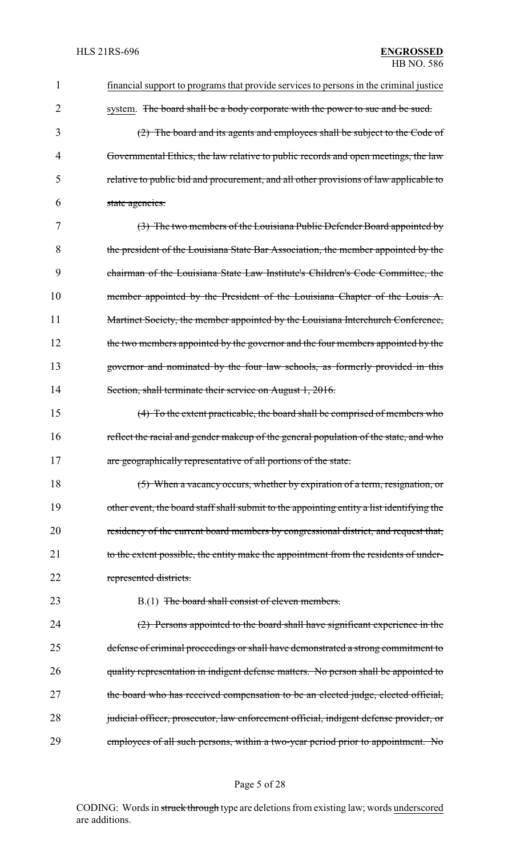| 1  | financial support to programs that provide services to persons in the criminal justice    |
|----|-------------------------------------------------------------------------------------------|
| 2  | system. The board shall be a body corporate with the power to sue and be sued.            |
| 3  | $(2)$ The board and its agents and employees shall be subject to the Code of              |
| 4  | Governmental Ethics, the law relative to public records and open meetings, the law        |
| 5  | relative to public bid and procurement, and all other provisions of law applicable to     |
| 6  | state agencies.                                                                           |
| 7  | (3) The two members of the Louisiana Public Defender Board appointed by                   |
| 8  | the president of the Louisiana State Bar Association, the member appointed by the         |
| 9  | chairman of the Louisiana State Law Institute's Children's Code Committee, the            |
| 10 | member appointed by the President of the Louisiana Chapter of the Louis A.                |
| 11 | Martinet Society, the member appointed by the Louisiana Interchurch Conference,           |
| 12 | the two members appointed by the governor and the four members appointed by the           |
| 13 | governor and nominated by the four law schools, as formerly provided in this              |
| 14 | Section, shall terminate their service on August 1, 2016.                                 |
| 15 | (4) To the extent practicable, the board shall be comprised of members who                |
| 16 | reflect the racial and gender makeup of the general population of the state, and who      |
| 17 | are geographically representative of all portions of the state.                           |
| 18 | (5) When a vacancy occurs, whether by expiration of a term, resignation, or               |
| 19 | other event, the board staff shall submit to the appointing entity a list identifying the |
| 20 | residency of the current board members by congressional district, and request that,       |
| 21 | to the extent possible, the entity make the appointment from the residents of under-      |
| 22 | represented districts.                                                                    |
| 23 | B.(1) The board shall consist of eleven members.                                          |
| 24 | (2) Persons appointed to the board shall have significant experience in the               |
| 25 | defense of criminal proceedings or shall have demonstrated a strong commitment to         |
| 26 | quality representation in indigent defense matters. No person shall be appointed to       |
| 27 | the board who has received compensation to be an elected judge, elected official,         |
| 28 | judicial officer, prosecutor, law enforcement official, indigent defense provider, or     |
| 29 | employees of all such persons, within a two-year period prior to appointment. No          |

# Page 5 of 28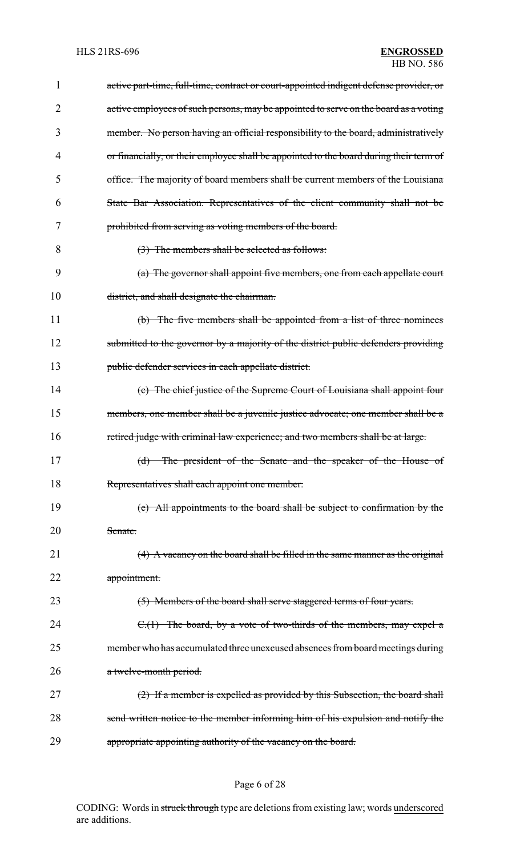| 1              | active part-time, full-time, contract or court-appointed indigent defense provider, or |
|----------------|----------------------------------------------------------------------------------------|
| $\overline{2}$ | active employees of such persons, may be appointed to serve on the board as a voting   |
| 3              | member. No person having an official responsibility to the board, administratively     |
| 4              | or financially, or their employee shall be appointed to the board during their term of |
| 5              | office. The majority of board members shall be current members of the Louisiana        |
| 6              | State Bar Association. Representatives of the client community shall not be            |
| 7              | prohibited from serving as voting members of the board.                                |
| 8              | (3) The members shall be selected as follows:                                          |
| 9              | (a) The governor shall appoint five members, one from each appellate court             |
| 10             | district, and shall designate the chairman.                                            |
| 11             | (b) The five members shall be appointed from a list of three nominees                  |
| 12             | submitted to the governor by a majority of the district public defenders providing     |
| 13             | public defender services in each appellate district.                                   |
| 14             | (c) The chief justice of the Supreme Court of Louisiana shall appoint four             |
| 15             | members, one member shall be a juvenile justice advocate; one member shall be a        |
| 16             | retired judge with criminal law experience; and two members shall be at large.         |
| 17             | (d) The president of the Senate and the speaker of the House of                        |
| 18             | Representatives shall each appoint one member.                                         |
| 19             | (e) All appointments to the board shall be subject to confirmation by the              |
| 20             | Senate.                                                                                |
| 21             | $(4)$ A vacancy on the board shall be filled in the same manner as the original        |
| 22             | appointment.                                                                           |
| 23             | (5) Members of the board shall serve staggered terms of four years.                    |
| 24             | $C(1)$ The board, by a vote of two-thirds of the members, may expel a                  |
| 25             | member who has accumulated three unexcused absences from board meetings during         |
| 26             | a twelve-month period.                                                                 |
| 27             | (2) If a member is expelled as provided by this Subsection, the board shall            |
| 28             | send written notice to the member informing him of his expulsion and notify the        |
| 29             | appropriate appointing authority of the vacancy on the board.                          |

# Page 6 of 28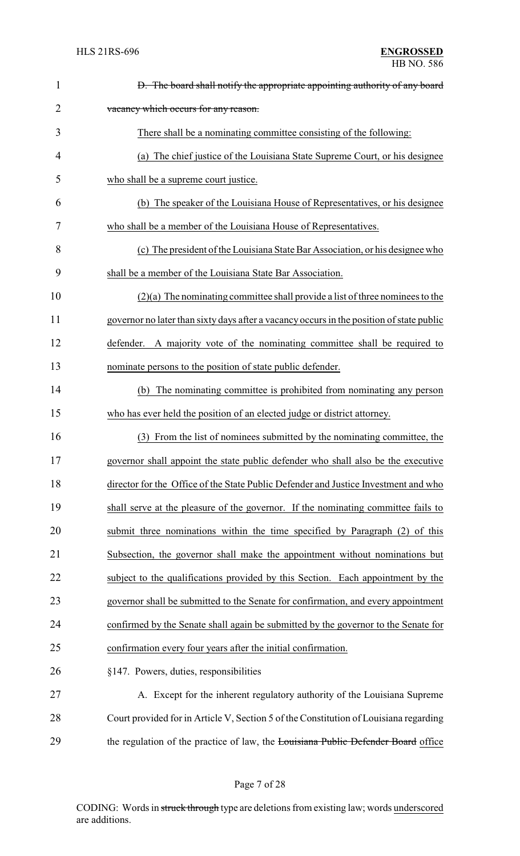| 1              | D. The board shall notify the appropriate appointing authority of any board              |
|----------------|------------------------------------------------------------------------------------------|
| $\overline{2}$ | vacancy which occurs for any reason.                                                     |
| 3              | There shall be a nominating committee consisting of the following:                       |
| 4              | (a) The chief justice of the Louisiana State Supreme Court, or his designee              |
| 5              | who shall be a supreme court justice.                                                    |
| 6              | (b) The speaker of the Louisiana House of Representatives, or his designee               |
| 7              | who shall be a member of the Louisiana House of Representatives.                         |
| 8              | (c) The president of the Louisiana State Bar Association, or his designee who            |
| 9              | shall be a member of the Louisiana State Bar Association.                                |
| 10             | $(2)(a)$ The nominating committee shall provide a list of three nominees to the          |
| 11             | governor no later than sixty days after a vacancy occurs in the position of state public |
| 12             | defender. A majority vote of the nominating committee shall be required to               |
| 13             | nominate persons to the position of state public defender.                               |
| 14             | (b) The nominating committee is prohibited from nominating any person                    |
| 15             | who has ever held the position of an elected judge or district attorney.                 |
| 16             | From the list of nominees submitted by the nominating committee, the<br>(3)              |
| 17             | governor shall appoint the state public defender who shall also be the executive         |
| 18             | director for the Office of the State Public Defender and Justice Investment and who      |
| 19             | shall serve at the pleasure of the governor. If the nominating committee fails to        |
| 20             | submit three nominations within the time specified by Paragraph (2) of this              |
| 21             | Subsection, the governor shall make the appointment without nominations but              |
| 22             | subject to the qualifications provided by this Section. Each appointment by the          |
| 23             | governor shall be submitted to the Senate for confirmation, and every appointment        |
| 24             | confirmed by the Senate shall again be submitted by the governor to the Senate for       |
| 25             | confirmation every four years after the initial confirmation.                            |
| 26             | §147. Powers, duties, responsibilities                                                   |
| 27             | A. Except for the inherent regulatory authority of the Louisiana Supreme                 |
| 28             | Court provided for in Article V, Section 5 of the Constitution of Louisiana regarding    |
| 29             | the regulation of the practice of law, the Louisiana Public Defender Board office        |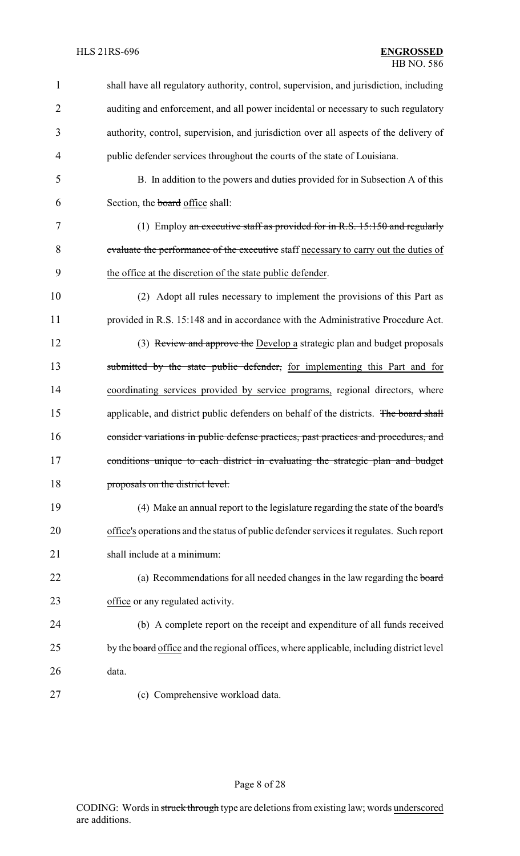| $\mathbf{1}$   | shall have all regulatory authority, control, supervision, and jurisdiction, including   |
|----------------|------------------------------------------------------------------------------------------|
| $\overline{2}$ | auditing and enforcement, and all power incidental or necessary to such regulatory       |
| 3              | authority, control, supervision, and jurisdiction over all aspects of the delivery of    |
| 4              | public defender services throughout the courts of the state of Louisiana.                |
| 5              | B. In addition to the powers and duties provided for in Subsection A of this             |
| 6              | Section, the board office shall:                                                         |
| 7              | (1) Employ an executive staff as provided for in R.S. $15:150$ and regularly             |
| 8              | evaluate the performance of the executive staff necessary to carry out the duties of     |
| 9              | the office at the discretion of the state public defender.                               |
| 10             | (2) Adopt all rules necessary to implement the provisions of this Part as                |
| 11             | provided in R.S. 15:148 and in accordance with the Administrative Procedure Act.         |
| 12             | (3) Review and approve the Develop a strategic plan and budget proposals                 |
| 13             | submitted by the state public defender, for implementing this Part and for               |
| 14             | coordinating services provided by service programs, regional directors, where            |
| 15             | applicable, and district public defenders on behalf of the districts. The board shall    |
| 16             | consider variations in public defense practices, past practices and procedures, and      |
| 17             | conditions unique to each district in evaluating the strategic plan and budget           |
| 18             | proposals on the district level.                                                         |
| 19             | (4) Make an annual report to the legislature regarding the state of the board's          |
| 20             | office's operations and the status of public defender services it regulates. Such report |
| 21             | shall include at a minimum:                                                              |
| 22             | (a) Recommendations for all needed changes in the law regarding the board                |
| 23             | office or any regulated activity.                                                        |
| 24             | (b) A complete report on the receipt and expenditure of all funds received               |
| 25             | by the board office and the regional offices, where applicable, including district level |
| 26             | data.                                                                                    |
| 27             | (c) Comprehensive workload data.                                                         |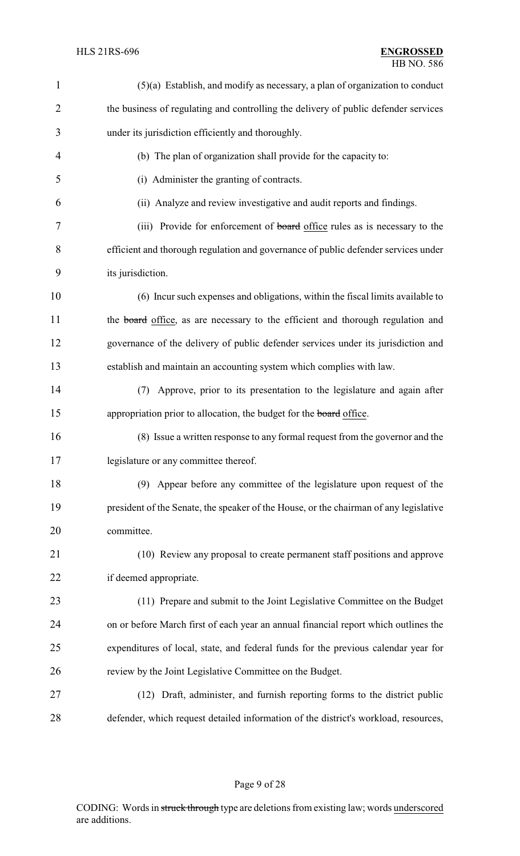| $\mathbf{1}$   | $(5)(a)$ Establish, and modify as necessary, a plan of organization to conduct        |
|----------------|---------------------------------------------------------------------------------------|
| $\overline{2}$ | the business of regulating and controlling the delivery of public defender services   |
| 3              | under its jurisdiction efficiently and thoroughly.                                    |
| 4              | (b) The plan of organization shall provide for the capacity to:                       |
| 5              | (i) Administer the granting of contracts.                                             |
| 6              | (ii) Analyze and review investigative and audit reports and findings.                 |
| 7              | (iii) Provide for enforcement of board office rules as is necessary to the            |
| 8              | efficient and thorough regulation and governance of public defender services under    |
| 9              | its jurisdiction.                                                                     |
| 10             | (6) Incur such expenses and obligations, within the fiscal limits available to        |
| 11             | the board office, as are necessary to the efficient and thorough regulation and       |
| 12             | governance of the delivery of public defender services under its jurisdiction and     |
| 13             | establish and maintain an accounting system which complies with law.                  |
| 14             | Approve, prior to its presentation to the legislature and again after<br>(7)          |
| 15             | appropriation prior to allocation, the budget for the board office.                   |
| 16             | (8) Issue a written response to any formal request from the governor and the          |
| 17             | legislature or any committee thereof.                                                 |
| 18             | (9) Appear before any committee of the legislature upon request of the                |
| 19             | president of the Senate, the speaker of the House, or the chairman of any legislative |
| 20             | committee.                                                                            |
| 21             | (10) Review any proposal to create permanent staff positions and approve              |
| 22             | if deemed appropriate.                                                                |
| 23             | (11) Prepare and submit to the Joint Legislative Committee on the Budget              |
| 24             | on or before March first of each year an annual financial report which outlines the   |
| 25             | expenditures of local, state, and federal funds for the previous calendar year for    |
| 26             | review by the Joint Legislative Committee on the Budget.                              |
| 27             | (12) Draft, administer, and furnish reporting forms to the district public            |
| 28             | defender, which request detailed information of the district's workload, resources,   |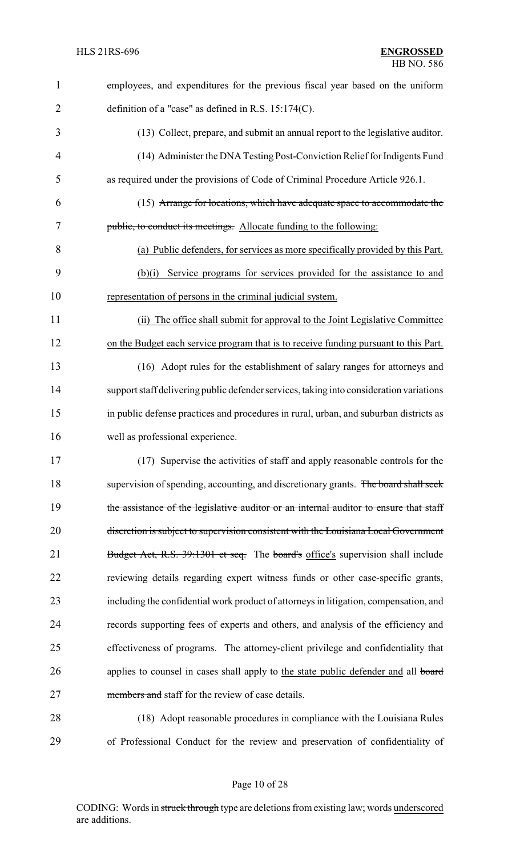| $\mathbf{1}$   | employees, and expenditures for the previous fiscal year based on the uniform           |
|----------------|-----------------------------------------------------------------------------------------|
| $\overline{2}$ | definition of a "case" as defined in R.S. 15:174(C).                                    |
| 3              | (13) Collect, prepare, and submit an annual report to the legislative auditor.          |
| 4              | (14) Administer the DNA Testing Post-Conviction Relief for Indigents Fund               |
| 5              | as required under the provisions of Code of Criminal Procedure Article 926.1.           |
| 6              | (15) Arrange for locations, which have adequate space to accommodate the                |
| 7              | public, to conduct its meetings. Allocate funding to the following:                     |
| 8              | (a) Public defenders, for services as more specifically provided by this Part.          |
| 9              | Service programs for services provided for the assistance to and<br>(b)(i)              |
| 10             | representation of persons in the criminal judicial system.                              |
| 11             | (ii) The office shall submit for approval to the Joint Legislative Committee            |
| 12             | on the Budget each service program that is to receive funding pursuant to this Part.    |
| 13             | (16) Adopt rules for the establishment of salary ranges for attorneys and               |
| 14             | support staff delivering public defender services, taking into consideration variations |
| 15             | in public defense practices and procedures in rural, urban, and suburban districts as   |
| 16             | well as professional experience.                                                        |
| 17             | (17) Supervise the activities of staff and apply reasonable controls for the            |
| 18             | supervision of spending, accounting, and discretionary grants. The board shall seek     |
| 19             | the assistance of the legislative auditor or an internal auditor to ensure that staff   |
| 20             | discretion is subject to supervision consistent with the Louisiana Local Government     |
| 21             | Budget Act, R.S. 39:1301 et seq. The board's office's supervision shall include         |
| 22             | reviewing details regarding expert witness funds or other case-specific grants,         |
| 23             | including the confidential work product of attorneys in litigation, compensation, and   |
| 24             | records supporting fees of experts and others, and analysis of the efficiency and       |
| 25             | effectiveness of programs. The attorney-client privilege and confidentiality that       |
| 26             | applies to counsel in cases shall apply to the state public defender and all board      |
| 27             | members and staff for the review of case details.                                       |
| 28             | (18) Adopt reasonable procedures in compliance with the Louisiana Rules                 |
| 29             | of Professional Conduct for the review and preservation of confidentiality of           |

Page 10 of 28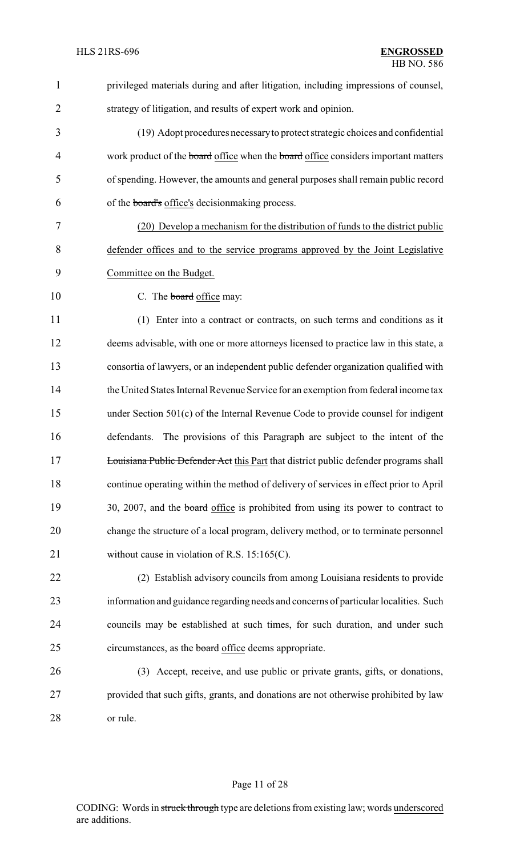| $\mathbf{1}$   | privileged materials during and after litigation, including impressions of counsel,   |
|----------------|---------------------------------------------------------------------------------------|
| $\overline{2}$ | strategy of litigation, and results of expert work and opinion.                       |
| 3              | (19) Adopt procedures necessary to protect strategic choices and confidential         |
| $\overline{4}$ | work product of the board office when the board office considers important matters    |
| 5              | of spending. However, the amounts and general purposes shall remain public record     |
| 6              | of the board's office's decisionmaking process.                                       |
| 7              | (20) Develop a mechanism for the distribution of funds to the district public         |
| 8              | defender offices and to the service programs approved by the Joint Legislative        |
| 9              | Committee on the Budget.                                                              |
| 10             | C. The board office may:                                                              |
| 11             | (1) Enter into a contract or contracts, on such terms and conditions as it            |
| 12             | deems advisable, with one or more attorneys licensed to practice law in this state, a |
| 13             | consortia of lawyers, or an independent public defender organization qualified with   |
| 14             | the United States Internal Revenue Service for an exemption from federal income tax   |
| 15             | under Section 501(c) of the Internal Revenue Code to provide counsel for indigent     |
| 16             | The provisions of this Paragraph are subject to the intent of the<br>defendants.      |
| 17             | Louisiana Public Defender Act this Part that district public defender programs shall  |
| 18             | continue operating within the method of delivery of services in effect prior to April |
| 19             | 30, 2007, and the board office is prohibited from using its power to contract to      |
| 20             | change the structure of a local program, delivery method, or to terminate personnel   |
| 21             | without cause in violation of R.S. $15:165(C)$ .                                      |
| 22             | (2) Establish advisory councils from among Louisiana residents to provide             |
| 23             | information and guidance regarding needs and concerns of particular localities. Such  |
| 24             | councils may be established at such times, for such duration, and under such          |
| 25             | circumstances, as the <b>board</b> office deems appropriate.                          |
| 26             | (3) Accept, receive, and use public or private grants, gifts, or donations,           |
| 27             | provided that such gifts, grants, and donations are not otherwise prohibited by law   |
| 28             | or rule.                                                                              |
|                |                                                                                       |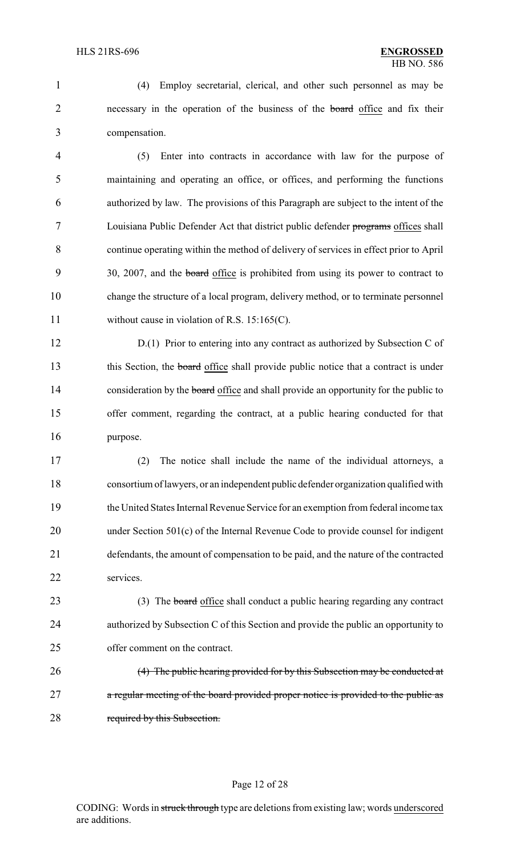1 (4) Employ secretarial, clerical, and other such personnel as may be 2 necessary in the operation of the business of the board office and fix their 3 compensation.

 (5) Enter into contracts in accordance with law for the purpose of maintaining and operating an office, or offices, and performing the functions authorized by law. The provisions of this Paragraph are subject to the intent of the Louisiana Public Defender Act that district public defender programs offices shall continue operating within the method of delivery of services in effect prior to April 9 30, 2007, and the board office is prohibited from using its power to contract to change the structure of a local program, delivery method, or to terminate personnel 11 without cause in violation of R.S. 15:165(C).

12 D.(1) Prior to entering into any contract as authorized by Subsection C of 13 this Section, the board office shall provide public notice that a contract is under 14 consideration by the **board** office and shall provide an opportunity for the public to 15 offer comment, regarding the contract, at a public hearing conducted for that 16 purpose.

 (2) The notice shall include the name of the individual attorneys, a consortium of lawyers, or an independent public defender organization qualified with the United States Internal Revenue Service for an exemption from federal income tax under Section 501(c) of the Internal Revenue Code to provide counsel for indigent defendants, the amount of compensation to be paid, and the nature of the contracted services.

23 (3) The board office shall conduct a public hearing regarding any contract 24 authorized by Subsection C of this Section and provide the public an opportunity to 25 offer comment on the contract.

26 (4) The public hearing provided for by this Subsection may be conducted at 27 a regular meeting of the board provided proper notice is provided to the public as 28 required by this Subsection.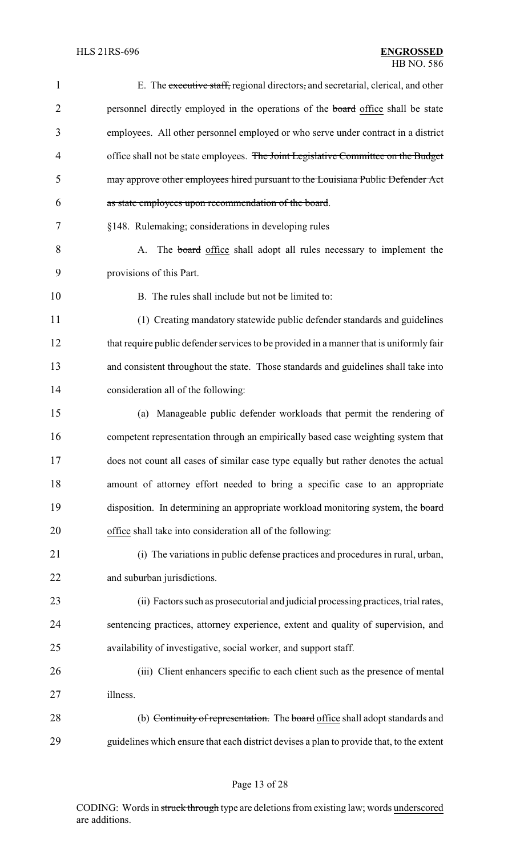| $\mathbf{1}$   | E. The executive staff, regional directors, and secretarial, clerical, and other         |
|----------------|------------------------------------------------------------------------------------------|
| $\overline{2}$ | personnel directly employed in the operations of the board office shall be state         |
| 3              | employees. All other personnel employed or who serve under contract in a district        |
| 4              | office shall not be state employees. The Joint Legislative Committee on the Budget       |
| 5              | may approve other employees hired pursuant to the Louisiana Public Defender Act          |
| 6              | as state employees upon recommendation of the board.                                     |
| 7              | §148. Rulemaking; considerations in developing rules                                     |
| 8              | The board office shall adopt all rules necessary to implement the<br>A.                  |
| 9              | provisions of this Part.                                                                 |
| 10             | B. The rules shall include but not be limited to:                                        |
| 11             | (1) Creating mandatory statewide public defender standards and guidelines                |
| 12             | that require public defender services to be provided in a manner that is uniformly fair  |
| 13             | and consistent throughout the state. Those standards and guidelines shall take into      |
| 14             | consideration all of the following:                                                      |
| 15             | (a) Manageable public defender workloads that permit the rendering of                    |
| 16             | competent representation through an empirically based case weighting system that         |
| 17             | does not count all cases of similar case type equally but rather denotes the actual      |
| 18             | amount of attorney effort needed to bring a specific case to an appropriate              |
| 19             | disposition. In determining an appropriate workload monitoring system, the board         |
| 20             | office shall take into consideration all of the following:                               |
| 21             | (i) The variations in public defense practices and procedures in rural, urban,           |
| 22             | and suburban jurisdictions.                                                              |
| 23             | (ii) Factors such as prosecutorial and judicial processing practices, trial rates,       |
| 24             | sentencing practices, attorney experience, extent and quality of supervision, and        |
| 25             | availability of investigative, social worker, and support staff.                         |
| 26             | (iii) Client enhancers specific to each client such as the presence of mental            |
| 27             | illness.                                                                                 |
| 28             | (b) Continuity of representation. The board office shall adopt standards and             |
| 29             | guidelines which ensure that each district devises a plan to provide that, to the extent |
|                |                                                                                          |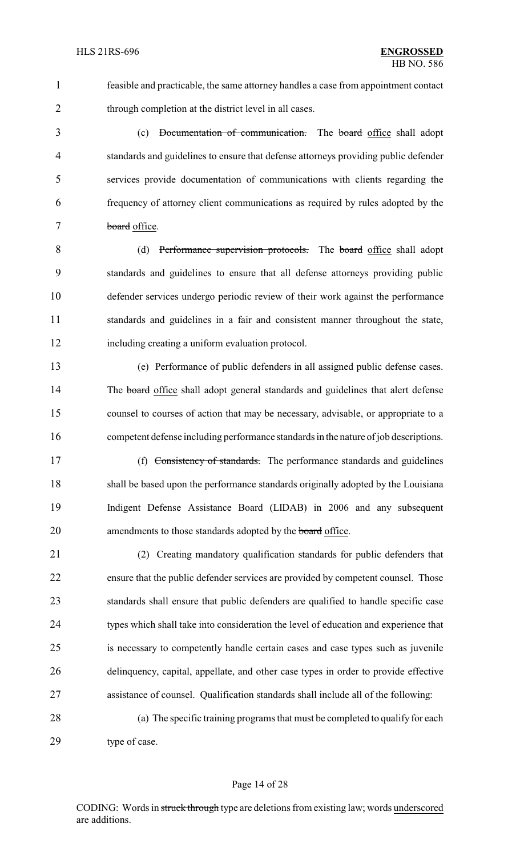feasible and practicable, the same attorney handles a case from appointment contact 2 through completion at the district level in all cases.

 (c) Documentation of communication. The board office shall adopt standards and guidelines to ensure that defense attorneys providing public defender services provide documentation of communications with clients regarding the frequency of attorney client communications as required by rules adopted by the 7 board office.

 (d) Performance supervision protocols. The board office shall adopt standards and guidelines to ensure that all defense attorneys providing public defender services undergo periodic review of their work against the performance standards and guidelines in a fair and consistent manner throughout the state, including creating a uniform evaluation protocol.

 (e) Performance of public defenders in all assigned public defense cases. 14 The board office shall adopt general standards and guidelines that alert defense counsel to courses of action that may be necessary, advisable, or appropriate to a competent defense including performance standards in the nature of job descriptions.

17 (f) Consistency of standards. The performance standards and guidelines shall be based upon the performance standards originally adopted by the Louisiana Indigent Defense Assistance Board (LIDAB) in 2006 and any subsequent 20 amendments to those standards adopted by the **board** office.

 (2) Creating mandatory qualification standards for public defenders that ensure that the public defender services are provided by competent counsel. Those standards shall ensure that public defenders are qualified to handle specific case types which shall take into consideration the level of education and experience that is necessary to competently handle certain cases and case types such as juvenile delinquency, capital, appellate, and other case types in order to provide effective assistance of counsel. Qualification standards shall include all of the following:

 (a) The specific training programs that must be completed to qualify for each 29 type of case.

### Page 14 of 28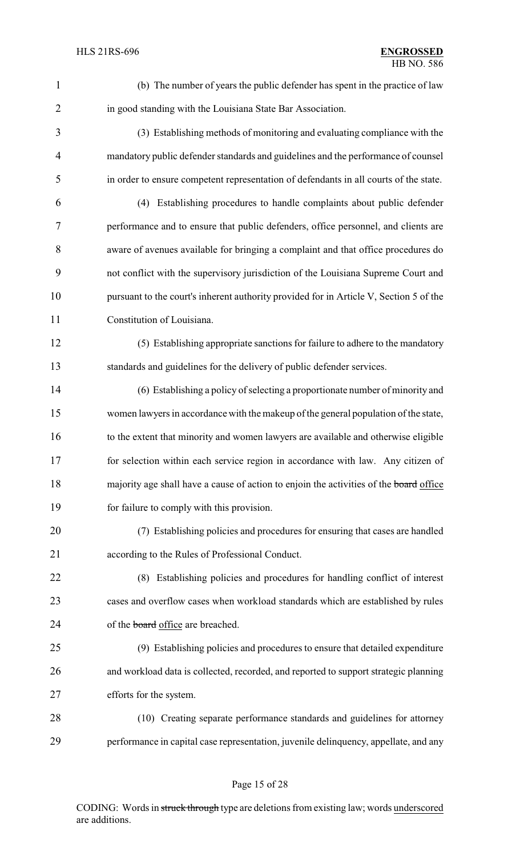| $\mathbf{1}$   | (b) The number of years the public defender has spent in the practice of law           |  |
|----------------|----------------------------------------------------------------------------------------|--|
| $\overline{2}$ | in good standing with the Louisiana State Bar Association.                             |  |
| 3              | (3) Establishing methods of monitoring and evaluating compliance with the              |  |
| $\overline{4}$ | mandatory public defender standards and guidelines and the performance of counsel      |  |
| 5              | in order to ensure competent representation of defendants in all courts of the state.  |  |
| 6              | (4) Establishing procedures to handle complaints about public defender                 |  |
| 7              | performance and to ensure that public defenders, office personnel, and clients are     |  |
| 8              | aware of avenues available for bringing a complaint and that office procedures do      |  |
| 9              | not conflict with the supervisory jurisdiction of the Louisiana Supreme Court and      |  |
| 10             | pursuant to the court's inherent authority provided for in Article V, Section 5 of the |  |
| 11             | Constitution of Louisiana.                                                             |  |
| 12             | (5) Establishing appropriate sanctions for failure to adhere to the mandatory          |  |
| 13             | standards and guidelines for the delivery of public defender services.                 |  |
| 14             | (6) Establishing a policy of selecting a proportionate number of minority and          |  |
| 15             | women lawyers in accordance with the makeup of the general population of the state,    |  |
| 16             | to the extent that minority and women lawyers are available and otherwise eligible     |  |
| 17             | for selection within each service region in accordance with law. Any citizen of        |  |
| 18             | majority age shall have a cause of action to enjoin the activities of the board office |  |
| 19             | for failure to comply with this provision.                                             |  |
| 20             | (7) Establishing policies and procedures for ensuring that cases are handled           |  |
| 21             | according to the Rules of Professional Conduct.                                        |  |
| 22             | (8) Establishing policies and procedures for handling conflict of interest             |  |
| 23             | cases and overflow cases when workload standards which are established by rules        |  |
| 24             | of the <b>board</b> office are breached.                                               |  |
| 25             | (9) Establishing policies and procedures to ensure that detailed expenditure           |  |
| 26             | and workload data is collected, recorded, and reported to support strategic planning   |  |
| 27             | efforts for the system.                                                                |  |
| 28             | (10) Creating separate performance standards and guidelines for attorney               |  |
| 29             | performance in capital case representation, juvenile delinquency, appellate, and any   |  |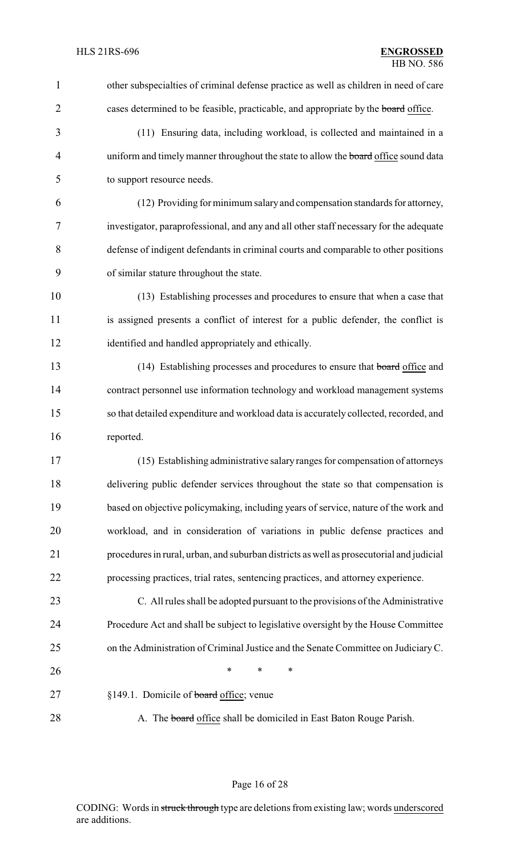other subspecialties of criminal defense practice as well as children in need of care 2 cases determined to be feasible, practicable, and appropriate by the board office. (11) Ensuring data, including workload, is collected and maintained in a 4 uniform and timely manner throughout the state to allow the **board office** sound data to support resource needs. (12) Providing for minimum salaryand compensation standards for attorney, investigator, paraprofessional, and any and all other staff necessary for the adequate defense of indigent defendants in criminal courts and comparable to other positions of similar stature throughout the state. (13) Establishing processes and procedures to ensure that when a case that is assigned presents a conflict of interest for a public defender, the conflict is identified and handled appropriately and ethically. 13 (14) Establishing processes and procedures to ensure that board office and contract personnel use information technology and workload management systems so that detailed expenditure and workload data is accurately collected, recorded, and reported. (15) Establishing administrative salary ranges for compensation of attorneys delivering public defender services throughout the state so that compensation is based on objective policymaking, including years of service, nature of the work and workload, and in consideration of variations in public defense practices and procedures in rural, urban, and suburban districts as well as prosecutorial and judicial processing practices, trial rates, sentencing practices, and attorney experience. C. All rules shall be adopted pursuant to the provisions of the Administrative Procedure Act and shall be subject to legislative oversight by the House Committee on the Administration of Criminal Justice and the Senate Committee on JudiciaryC. **\*** \* \* \* 27 §149.1. Domicile of <del>board</del> office; venue 28 A. The board office shall be domiciled in East Baton Rouge Parish.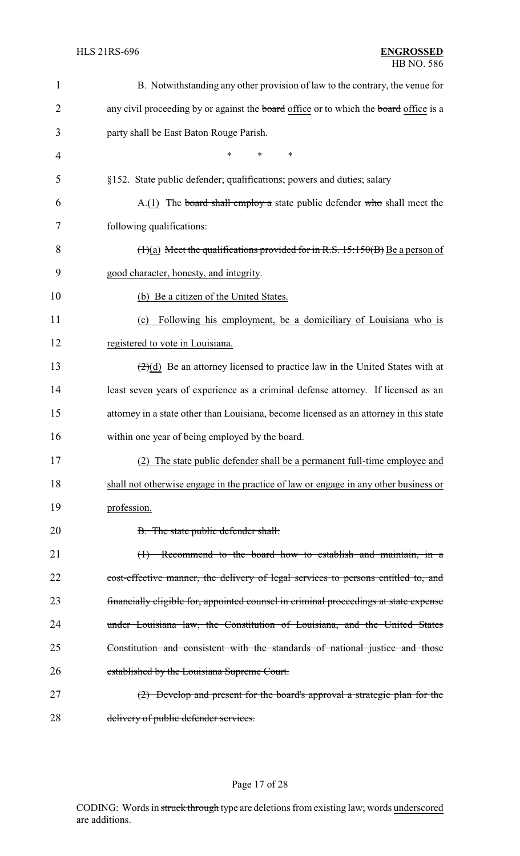| $\mathbf{1}$   | B. Notwithstanding any other provision of law to the contrary, the venue for                    |
|----------------|-------------------------------------------------------------------------------------------------|
| $\overline{2}$ | any civil proceeding by or against the board office or to which the board office is a           |
| 3              | party shall be East Baton Rouge Parish.                                                         |
| 4              | $\ast$<br>*<br>∗                                                                                |
| 5              | §152. State public defender; qualifications; powers and duties; salary                          |
| 6              | $A(1)$ The board shall employ a state public defender who shall meet the                        |
| 7              | following qualifications:                                                                       |
| 8              | $(1)(a)$ Meet the qualifications provided for in R.S. 15:150(B) Be a person of                  |
| 9              | good character, honesty, and integrity.                                                         |
| 10             | (b) Be a citizen of the United States.                                                          |
| 11             | Following his employment, be a domiciliary of Louisiana who is<br>(c)                           |
| 12             | registered to vote in Louisiana.                                                                |
| 13             | $\left(\frac{2}{d}\right)$ Be an attorney licensed to practice law in the United States with at |
| 14             | least seven years of experience as a criminal defense attorney. If licensed as an               |
| 15             | attorney in a state other than Louisiana, become licensed as an attorney in this state          |
| 16             | within one year of being employed by the board.                                                 |
| 17             | (2) The state public defender shall be a permanent full-time employee and                       |
| 18             | shall not otherwise engage in the practice of law or engage in any other business or            |
| 19             | profession.                                                                                     |
| 20             | B. The state public defender shall:                                                             |
| 21             | (1) Recommend to the board how to establish and maintain, in a                                  |
| 22             | cost-effective manner, the delivery of legal services to persons entitled to, and               |
| 23             | financially eligible for, appointed counsel in criminal proceedings at state expense            |
| 24             | under Louisiana law, the Constitution of Louisiana, and the United States                       |
| 25             | Constitution and consistent with the standards of national justice and those                    |
| 26             | established by the Louisiana Supreme Court.                                                     |
| 27             | (2) Develop and present for the board's approval a strategic plan for the                       |
| 28             | delivery of public defender services.                                                           |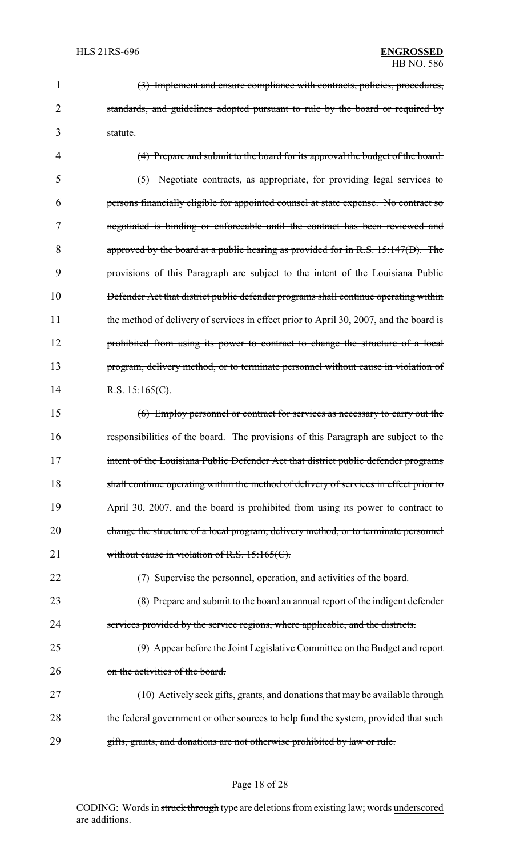| 1  | (3) Implement and ensure compliance with contracts, policies, procedures,              |
|----|----------------------------------------------------------------------------------------|
| 2  | standards, and guidelines adopted pursuant to rule by the board or required by         |
| 3  | statute.                                                                               |
| 4  | (4) Prepare and submit to the board for its approval the budget of the board.          |
| 5  | (5) Negotiate contracts, as appropriate, for providing legal services to               |
| 6  | persons financially eligible for appointed counsel at state expense. No contract so    |
| 7  | negotiated is binding or enforceable until the contract has been reviewed and          |
| 8  | approved by the board at a public hearing as provided for in R.S. 15:147(D). The       |
| 9  | provisions of this Paragraph are subject to the intent of the Louisiana Public         |
| 10 | Defender Act that district public defender programs shall continue operating within    |
| 11 | the method of delivery of services in effect prior to April 30, 2007, and the board is |
| 12 | prohibited from using its power to contract to change the structure of a local         |
| 13 | program, delivery method, or to terminate personnel without cause in violation of      |
| 14 | R.S. 15:165(C).                                                                        |
| 15 | (6) Employ personnel or contract for services as necessary to carry out the            |
| 16 | responsibilities of the board. The provisions of this Paragraph are subject to the     |
| 17 | intent of the Louisiana Public Defender Act that district public defender programs     |
| 18 | shall continue operating within the method of delivery of services in effect prior to  |
| 19 | April 30, 2007, and the board is prohibited from using its power to contract to        |
| 20 | change the structure of a local program, delivery method, or to terminate personnel    |
| 21 | without cause in violation of R.S. $15:165(C)$ .                                       |
| 22 | (7) Supervise the personnel, operation, and activities of the board.                   |
| 23 | (8) Prepare and submit to the board an annual report of the indigent defender          |
| 24 | services provided by the service regions, where applicable, and the districts.         |
| 25 | (9) Appear before the Joint Legislative Committee on the Budget and report             |
| 26 | on the activities of the board.                                                        |
| 27 | $(10)$ Actively seek gifts, grants, and donations that may be available through        |
| 28 | the federal government or other sources to help fund the system, provided that such    |
| 29 | gifts, grants, and donations are not otherwise prohibited by law or rule.              |
|    |                                                                                        |

# Page 18 of 28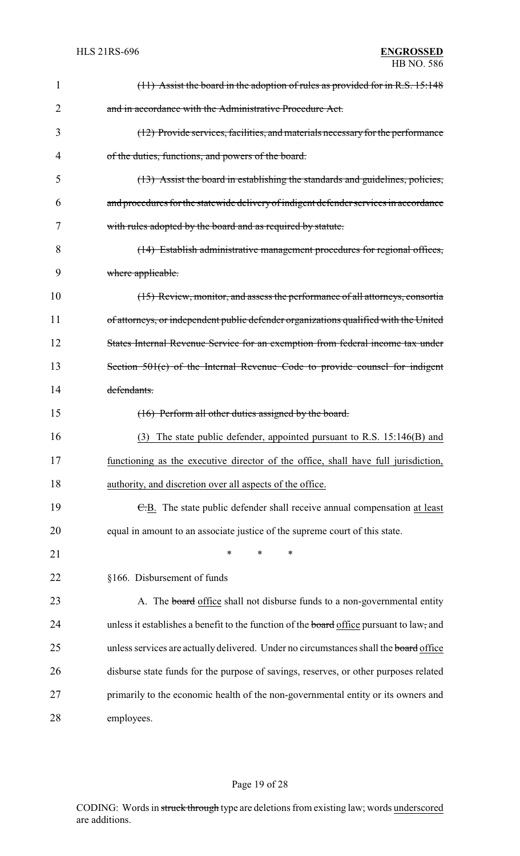| $\mathbf 1$ | $(11)$ Assist the board in the adoption of rules as provided for in R.S. 15:148          |
|-------------|------------------------------------------------------------------------------------------|
| 2           | and in accordance with the Administrative Procedure Act.                                 |
| 3           | (12) Provide services, facilities, and materials necessary for the performance           |
| 4           | of the duties, functions, and powers of the board.                                       |
| 5           | (13) Assist the board in establishing the standards and guidelines, policies,            |
| 6           | and procedures for the statewide delivery of indigent defender services in accordance    |
| 7           | with rules adopted by the board and as required by statute.                              |
| 8           | (14) Establish administrative management procedures for regional offices,                |
| 9           | where applicable.                                                                        |
| 10          | (15) Review, monitor, and assess the performance of all attorneys, consortia             |
| 11          | of attorneys, or independent public defender organizations qualified with the United     |
| 12          | States Internal Revenue Service for an exemption from federal income tax under           |
| 13          | Section $501(c)$ of the Internal Revenue Code to provide counsel for indigent            |
| 14          | defendants.                                                                              |
| 15          | (16) Perform all other duties assigned by the board.                                     |
| 16          | The state public defender, appointed pursuant to R.S. $15:146(B)$ and<br>(3)             |
| 17          | functioning as the executive director of the office, shall have full jurisdiction,       |
| 18          | authority, and discretion over all aspects of the office.                                |
| 19          | E.B. The state public defender shall receive annual compensation at least                |
| 20          | equal in amount to an associate justice of the supreme court of this state.              |
| 21          | $\ast$<br>*<br>∗                                                                         |
| 22          | §166. Disbursement of funds                                                              |
| 23          | A. The board office shall not disburse funds to a non-governmental entity                |
| 24          | unless it establishes a benefit to the function of the board office pursuant to law, and |
| 25          | unless services are actually delivered. Under no circumstances shall the board office    |
| 26          | disburse state funds for the purpose of savings, reserves, or other purposes related     |
| 27          | primarily to the economic health of the non-governmental entity or its owners and        |
| 28          | employees.                                                                               |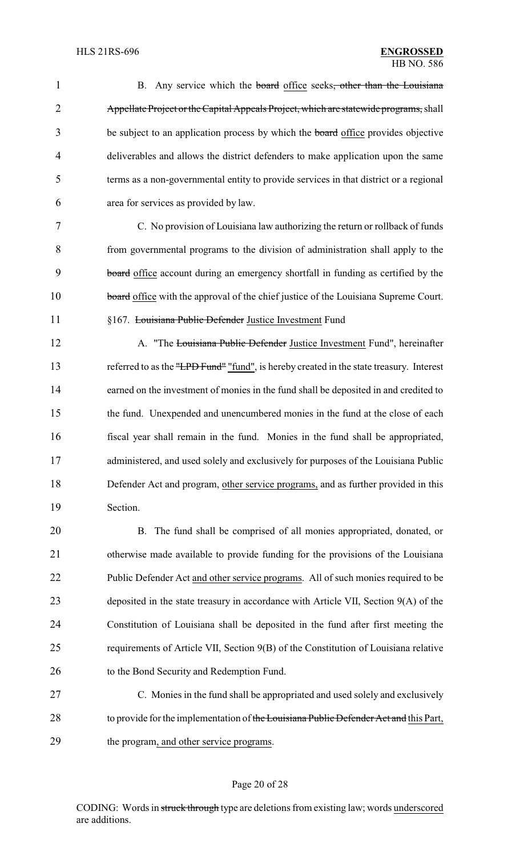1 B. Any service which the board office seeks<del>, other than the Louisiana</del> 2 Appellate Project or the Capital Appeals Project, which are statewide programs, shall 3 be subject to an application process by which the board office provides objective 4 deliverables and allows the district defenders to make application upon the same 5 terms as a non-governmental entity to provide services in that district or a regional 6 area for services as provided by law.

7 C. No provision of Louisiana law authorizing the return or rollback of funds 8 from governmental programs to the division of administration shall apply to the 9 board office account during an emergency shortfall in funding as certified by the 10 board office with the approval of the chief justice of the Louisiana Supreme Court. 11 §167. Louisiana Public Defender Justice Investment Fund

12 A. "The Louisiana Public Defender Justice Investment Fund", hereinafter 13 referred to as the "LPD Fund" "fund", is hereby created in the state treasury. Interest earned on the investment of monies in the fund shall be deposited in and credited to the fund. Unexpended and unencumbered monies in the fund at the close of each fiscal year shall remain in the fund. Monies in the fund shall be appropriated, administered, and used solely and exclusively for purposes of the Louisiana Public Defender Act and program, other service programs, and as further provided in this 19 Section.

 B. The fund shall be comprised of all monies appropriated, donated, or otherwise made available to provide funding for the provisions of the Louisiana Public Defender Act and other service programs. All of such monies required to be deposited in the state treasury in accordance with Article VII, Section 9(A) of the Constitution of Louisiana shall be deposited in the fund after first meeting the requirements of Article VII, Section 9(B) of the Constitution of Louisiana relative to the Bond Security and Redemption Fund.

27 C. Monies in the fund shall be appropriated and used solely and exclusively 28 to provide for the implementation of the Louisiana Public Defender Act and this Part, 29 the program, and other service programs.

### Page 20 of 28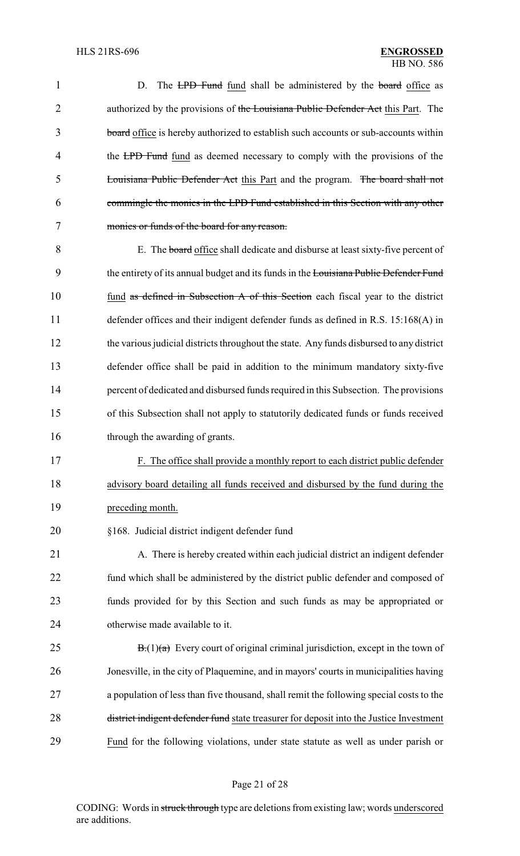| 1  | D. The LPD Fund fund shall be administered by the board office as                        |
|----|------------------------------------------------------------------------------------------|
| 2  | authorized by the provisions of the Louisiana Public Defender Act this Part. The         |
| 3  | board office is hereby authorized to establish such accounts or sub-accounts within      |
| 4  | the <b>LPD</b> Fund fund as deemed necessary to comply with the provisions of the        |
| 5  | Louisiana Public Defender Act this Part and the program. The board shall not             |
| 6  | commingle the monies in the LPD Fund established in this Section with any other          |
| 7  | monies or funds of the board for any reason.                                             |
| 8  | E. The board office shall dedicate and disburse at least sixty-five percent of           |
| 9  | the entirety of its annual budget and its funds in the Louisiana Public Defender Fund    |
| 10 | fund as defined in Subsection A of this Section each fiscal year to the district         |
| 11 | defender offices and their indigent defender funds as defined in R.S. 15:168(A) in       |
| 12 | the various judicial districts throughout the state. Any funds disbursed to any district |
| 13 | defender office shall be paid in addition to the minimum mandatory sixty-five            |
| 14 | percent of dedicated and disbursed funds required in this Subsection. The provisions     |
| 15 | of this Subsection shall not apply to statutorily dedicated funds or funds received      |
| 16 | through the awarding of grants.                                                          |
| 17 | F. The office shall provide a monthly report to each district public defender            |
| 18 | advisory board detailing all funds received and disbursed by the fund during the         |
| 19 | preceding month.                                                                         |
| 20 | §168. Judicial district indigent defender fund                                           |
| 21 | A. There is hereby created within each judicial district an indigent defender            |
| 22 | fund which shall be administered by the district public defender and composed of         |
| 23 | funds provided for by this Section and such funds as may be appropriated or              |
| 24 | otherwise made available to it.                                                          |
| 25 | $B(1)(a)$ Every court of original criminal jurisdiction, except in the town of           |
| 26 | Jonesville, in the city of Plaquemine, and in mayors' courts in municipalities having    |
| 27 | a population of less than five thousand, shall remit the following special costs to the  |
| 28 | district indigent defender fund state treasurer for deposit into the Justice Investment  |
| 29 | Fund for the following violations, under state statute as well as under parish or        |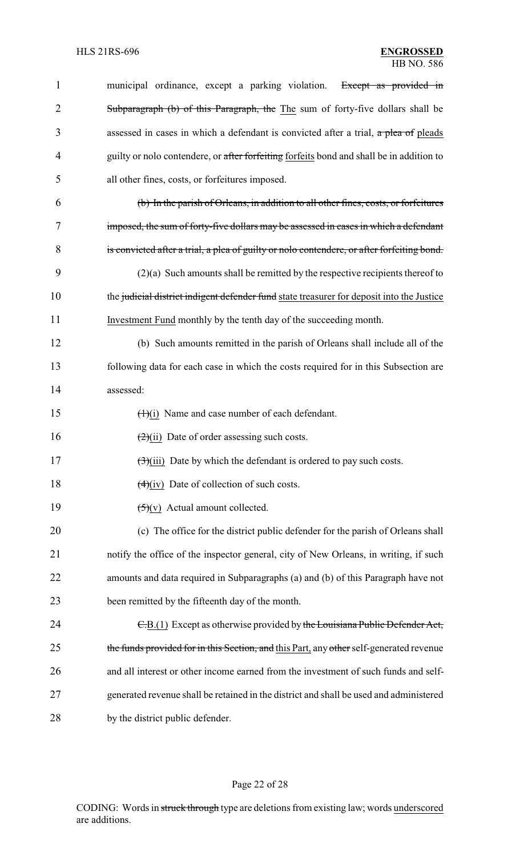| $\mathbf{1}$   | municipal ordinance, except a parking violation.<br>Except as provided in                  |  |
|----------------|--------------------------------------------------------------------------------------------|--|
| $\overline{2}$ | Subparagraph (b) of this Paragraph, the The sum of forty-five dollars shall be             |  |
| 3              | assessed in cases in which a defendant is convicted after a trial, a plea of pleads        |  |
| $\overline{4}$ | guilty or nolo contendere, or after forfeiting forfeits bond and shall be in addition to   |  |
| 5              | all other fines, costs, or forfeitures imposed.                                            |  |
| 6              | (b) In the parish of Orleans, in addition to all other fines, costs, or forfeitures        |  |
| 7              | imposed, the sum of forty-five dollars may be assessed in cases in which a defendant       |  |
| 8              | is convicted after a trial, a plea of guilty or nolo contendere, or after forfeiting bond. |  |
| 9              | $(2)(a)$ Such amounts shall be remitted by the respective recipients thereof to            |  |
| 10             | the judicial district indigent defender fund state treasurer for deposit into the Justice  |  |
| 11             | Investment Fund monthly by the tenth day of the succeeding month.                          |  |
| 12             | (b) Such amounts remitted in the parish of Orleans shall include all of the                |  |
| 13             | following data for each case in which the costs required for in this Subsection are        |  |
| 14             | assessed:                                                                                  |  |
| 15             | $(1)(i)$ Name and case number of each defendant.                                           |  |
| 16             | $\left(\frac{2}{2}\right)$ (ii) Date of order assessing such costs.                        |  |
| 17             | $\left(\frac{1}{2}\right)$ (iii) Date by which the defendant is ordered to pay such costs. |  |
| 18             | $\left(\frac{4}{11}\right)$ Date of collection of such costs.                              |  |
| 19             | $\left(\frac{1}{2}\right)(v)$ Actual amount collected.                                     |  |
| 20             | (c) The office for the district public defender for the parish of Orleans shall            |  |
| 21             | notify the office of the inspector general, city of New Orleans, in writing, if such       |  |
| 22             | amounts and data required in Subparagraphs (a) and (b) of this Paragraph have not          |  |
| 23             | been remitted by the fifteenth day of the month.                                           |  |
| 24             | E.B.(1) Except as otherwise provided by the Louisiana Public Defender Act,                 |  |
| 25             | the funds provided for in this Section, and this Part, any other self-generated revenue    |  |
| 26             | and all interest or other income earned from the investment of such funds and self-        |  |
|                |                                                                                            |  |
| 27             | generated revenue shall be retained in the district and shall be used and administered     |  |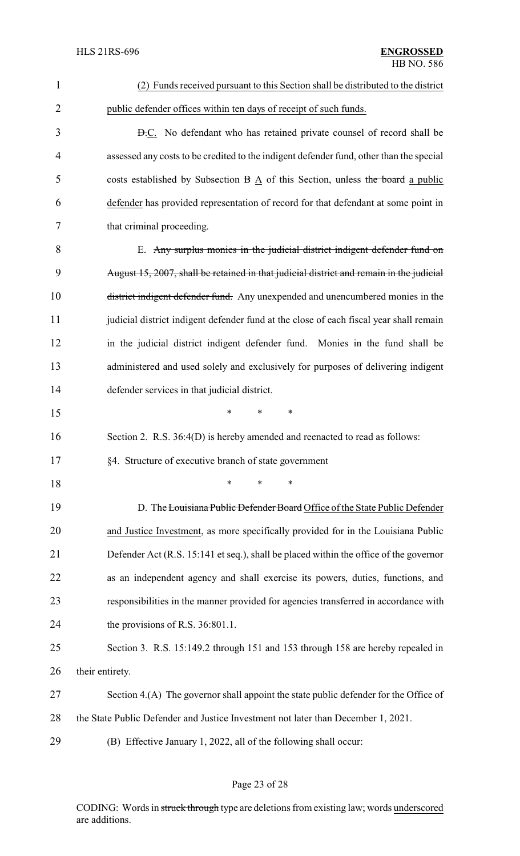| $\mathbf{1}$   | (2) Funds received pursuant to this Section shall be distributed to the district         |  |
|----------------|------------------------------------------------------------------------------------------|--|
| $\overline{2}$ | public defender offices within ten days of receipt of such funds.                        |  |
| 3              | <b>D.C.</b> No defendant who has retained private counsel of record shall be             |  |
| 4              | assessed any costs to be credited to the indigent defender fund, other than the special  |  |
| 5              | costs established by Subsection $B \triangle$ of this Section, unless the board a public |  |
| 6              | defender has provided representation of record for that defendant at some point in       |  |
| 7              | that criminal proceeding.                                                                |  |
| 8              | E. Any surplus monies in the judicial district indigent defender fund on                 |  |
| 9              | August 15, 2007, shall be retained in that judicial district and remain in the judicial  |  |
| 10             | district indigent defender fund. Any unexpended and unencumbered monies in the           |  |
| 11             | judicial district indigent defender fund at the close of each fiscal year shall remain   |  |
| 12             | in the judicial district indigent defender fund. Monies in the fund shall be             |  |
| 13             | administered and used solely and exclusively for purposes of delivering indigent         |  |
| 14             | defender services in that judicial district.                                             |  |
| 15             | *<br>*<br>*                                                                              |  |
| 16             | Section 2. R.S. 36:4(D) is hereby amended and reenacted to read as follows:              |  |
| 17             | §4. Structure of executive branch of state government                                    |  |
| 18             | *<br>*<br>∗                                                                              |  |
| 19             | D. The Louisiana Public Defender Board Office of the State Public Defender               |  |
| 20             | and Justice Investment, as more specifically provided for in the Louisiana Public        |  |
| 21             | Defender Act (R.S. 15:141 et seq.), shall be placed within the office of the governor    |  |
| 22             | as an independent agency and shall exercise its powers, duties, functions, and           |  |
| 23             | responsibilities in the manner provided for agencies transferred in accordance with      |  |
| 24             | the provisions of R.S. 36:801.1.                                                         |  |
| 25             | Section 3. R.S. 15:149.2 through 151 and 153 through 158 are hereby repealed in          |  |
| 26             | their entirety.                                                                          |  |
| 27             | Section 4.(A) The governor shall appoint the state public defender for the Office of     |  |
| 28             | the State Public Defender and Justice Investment not later than December 1, 2021.        |  |
| 29             | (B) Effective January 1, 2022, all of the following shall occur:                         |  |

# Page 23 of 28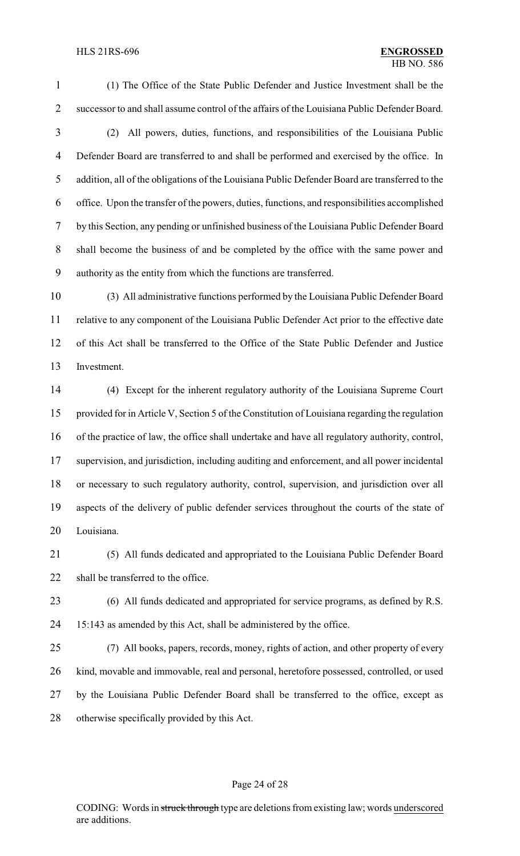(1) The Office of the State Public Defender and Justice Investment shall be the successor to and shall assume control of the affairs of the Louisiana Public Defender Board.

- (2) All powers, duties, functions, and responsibilities of the Louisiana Public Defender Board are transferred to and shall be performed and exercised by the office. In addition, all of the obligations of the Louisiana Public Defender Board are transferred to the office. Upon the transfer of the powers, duties, functions, and responsibilities accomplished by this Section, any pending or unfinished business of the Louisiana Public Defender Board shall become the business of and be completed by the office with the same power and authority as the entity from which the functions are transferred.
- (3) All administrative functions performed by the Louisiana Public Defender Board relative to any component of the Louisiana Public Defender Act prior to the effective date of this Act shall be transferred to the Office of the State Public Defender and Justice Investment.
- (4) Except for the inherent regulatory authority of the Louisiana Supreme Court provided for in Article V, Section 5 of the Constitution of Louisiana regarding the regulation of the practice of law, the office shall undertake and have all regulatory authority, control, supervision, and jurisdiction, including auditing and enforcement, and all power incidental or necessary to such regulatory authority, control, supervision, and jurisdiction over all aspects of the delivery of public defender services throughout the courts of the state of Louisiana.
- (5) All funds dedicated and appropriated to the Louisiana Public Defender Board 22 shall be transferred to the office.
- (6) All funds dedicated and appropriated for service programs, as defined by R.S. 15:143 as amended by this Act, shall be administered by the office.
- (7) All books, papers, records, money, rights of action, and other property of every kind, movable and immovable, real and personal, heretofore possessed, controlled, or used by the Louisiana Public Defender Board shall be transferred to the office, except as otherwise specifically provided by this Act.

### Page 24 of 28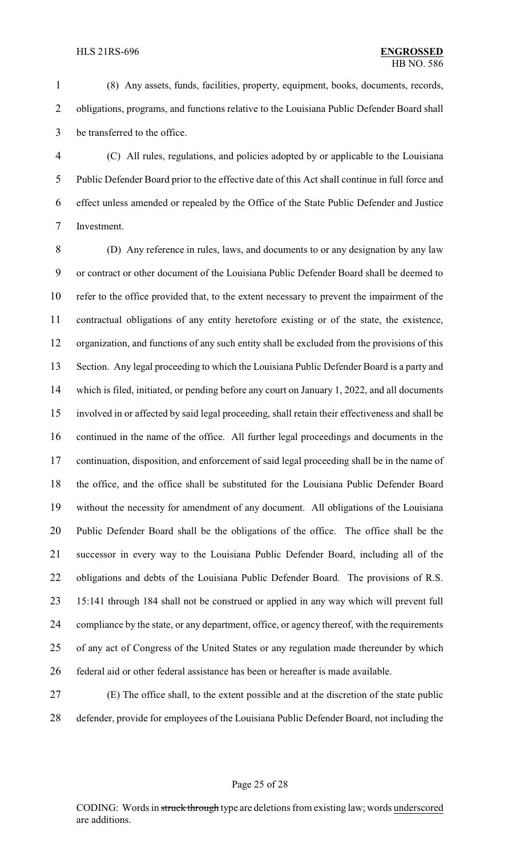(8) Any assets, funds, facilities, property, equipment, books, documents, records, 2 obligations, programs, and functions relative to the Louisiana Public Defender Board shall be transferred to the office.

 (C) All rules, regulations, and policies adopted by or applicable to the Louisiana Public Defender Board prior to the effective date of this Act shall continue in full force and effect unless amended or repealed by the Office of the State Public Defender and Justice Investment.

 (D) Any reference in rules, laws, and documents to or any designation by any law or contract or other document of the Louisiana Public Defender Board shall be deemed to refer to the office provided that, to the extent necessary to prevent the impairment of the contractual obligations of any entity heretofore existing or of the state, the existence, organization, and functions of any such entity shall be excluded from the provisions of this Section. Any legal proceeding to which the Louisiana Public Defender Board is a party and which is filed, initiated, or pending before any court on January 1, 2022, and all documents involved in or affected by said legal proceeding, shall retain their effectiveness and shall be continued in the name of the office. All further legal proceedings and documents in the 17 continuation, disposition, and enforcement of said legal proceeding shall be in the name of the office, and the office shall be substituted for the Louisiana Public Defender Board without the necessity for amendment of any document. All obligations of the Louisiana Public Defender Board shall be the obligations of the office. The office shall be the successor in every way to the Louisiana Public Defender Board, including all of the obligations and debts of the Louisiana Public Defender Board. The provisions of R.S. 15:141 through 184 shall not be construed or applied in any way which will prevent full compliance by the state, or any department, office, or agency thereof, with the requirements of any act of Congress of the United States or any regulation made thereunder by which federal aid or other federal assistance has been or hereafter is made available.

 (E) The office shall, to the extent possible and at the discretion of the state public defender, provide for employees of the Louisiana Public Defender Board, not including the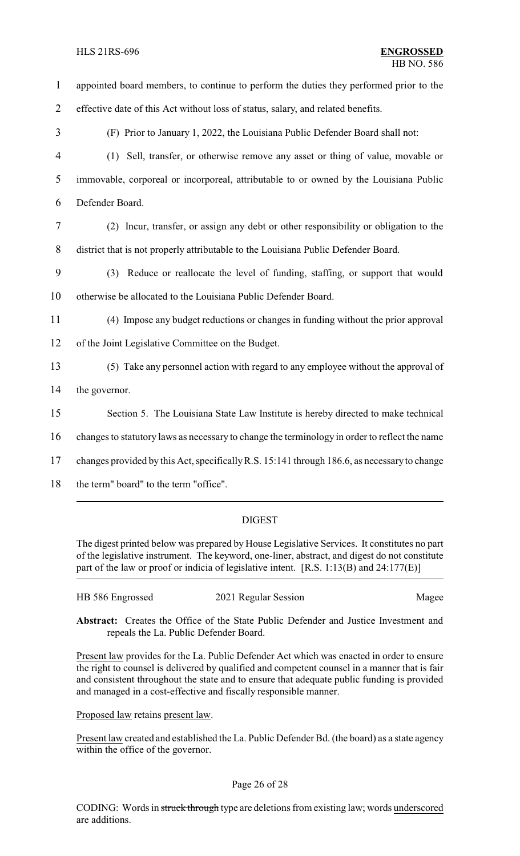| $\mathbf{1}$   | appointed board members, to continue to perform the duties they performed prior to the        |  |
|----------------|-----------------------------------------------------------------------------------------------|--|
| $\overline{2}$ | effective date of this Act without loss of status, salary, and related benefits.              |  |
| 3              | (F) Prior to January 1, 2022, the Louisiana Public Defender Board shall not:                  |  |
| 4              | (1) Sell, transfer, or otherwise remove any asset or thing of value, movable or               |  |
| 5              | immovable, corporeal or incorporeal, attributable to or owned by the Louisiana Public         |  |
| 6              | Defender Board.                                                                               |  |
| 7              | (2) Incur, transfer, or assign any debt or other responsibility or obligation to the          |  |
| 8              | district that is not properly attributable to the Louisiana Public Defender Board.            |  |
| 9              | Reduce or reallocate the level of funding, staffing, or support that would<br>(3)             |  |
| 10             | otherwise be allocated to the Louisiana Public Defender Board.                                |  |
| 11             | (4) Impose any budget reductions or changes in funding without the prior approval             |  |
| 12             | of the Joint Legislative Committee on the Budget.                                             |  |
| 13             | (5) Take any personnel action with regard to any employee without the approval of             |  |
| 14             | the governor.                                                                                 |  |
| 15             | Section 5. The Louisiana State Law Institute is hereby directed to make technical             |  |
| 16             | changes to statutory laws as necessary to change the terminology in order to reflect the name |  |
| 17             | changes provided by this Act, specifically R.S. 15:141 through 186.6, as necessary to change  |  |
| 18             | the term" board" to the term "office".                                                        |  |

## DIGEST

The digest printed below was prepared by House Legislative Services. It constitutes no part of the legislative instrument. The keyword, one-liner, abstract, and digest do not constitute part of the law or proof or indicia of legislative intent. [R.S. 1:13(B) and 24:177(E)]

| HB 586 Engrossed | 2021 Regular Session | Magee |
|------------------|----------------------|-------|
|------------------|----------------------|-------|

**Abstract:** Creates the Office of the State Public Defender and Justice Investment and repeals the La. Public Defender Board.

Present law provides for the La. Public Defender Act which was enacted in order to ensure the right to counsel is delivered by qualified and competent counsel in a manner that is fair and consistent throughout the state and to ensure that adequate public funding is provided and managed in a cost-effective and fiscally responsible manner.

Proposed law retains present law.

Present law created and established the La. Public Defender Bd. (the board) as a state agency within the office of the governor.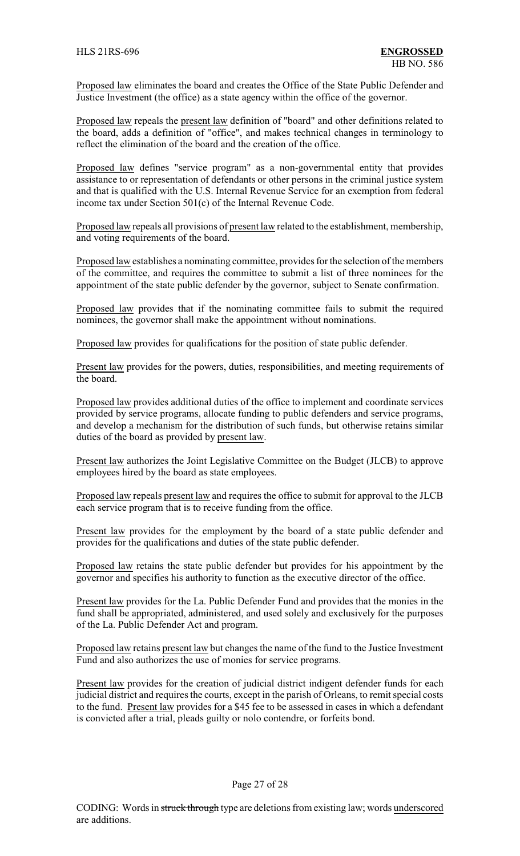Proposed law eliminates the board and creates the Office of the State Public Defender and Justice Investment (the office) as a state agency within the office of the governor.

Proposed law repeals the present law definition of "board" and other definitions related to the board, adds a definition of "office", and makes technical changes in terminology to reflect the elimination of the board and the creation of the office.

Proposed law defines "service program" as a non-governmental entity that provides assistance to or representation of defendants or other persons in the criminal justice system and that is qualified with the U.S. Internal Revenue Service for an exemption from federal income tax under Section 501(c) of the Internal Revenue Code.

Proposed law repeals all provisions of present law related to the establishment, membership, and voting requirements of the board.

Proposed law establishes a nominating committee, provides for the selection of the members of the committee, and requires the committee to submit a list of three nominees for the appointment of the state public defender by the governor, subject to Senate confirmation.

Proposed law provides that if the nominating committee fails to submit the required nominees, the governor shall make the appointment without nominations.

Proposed law provides for qualifications for the position of state public defender.

Present law provides for the powers, duties, responsibilities, and meeting requirements of the board.

Proposed law provides additional duties of the office to implement and coordinate services provided by service programs, allocate funding to public defenders and service programs, and develop a mechanism for the distribution of such funds, but otherwise retains similar duties of the board as provided by present law.

Present law authorizes the Joint Legislative Committee on the Budget (JLCB) to approve employees hired by the board as state employees.

Proposed law repeals present law and requires the office to submit for approval to the JLCB each service program that is to receive funding from the office.

Present law provides for the employment by the board of a state public defender and provides for the qualifications and duties of the state public defender.

Proposed law retains the state public defender but provides for his appointment by the governor and specifies his authority to function as the executive director of the office.

Present law provides for the La. Public Defender Fund and provides that the monies in the fund shall be appropriated, administered, and used solely and exclusively for the purposes of the La. Public Defender Act and program.

Proposed law retains present law but changes the name of the fund to the Justice Investment Fund and also authorizes the use of monies for service programs.

Present law provides for the creation of judicial district indigent defender funds for each judicial district and requires the courts, except in the parish of Orleans, to remit special costs to the fund. Present law provides for a \$45 fee to be assessed in cases in which a defendant is convicted after a trial, pleads guilty or nolo contendre, or forfeits bond.